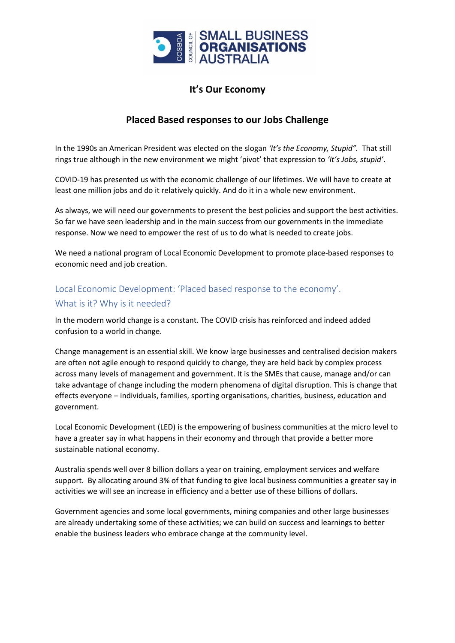

### **It's Our Economy**

#### **Placed Based responses to our Jobs Challenge**

In the 1990s an American President was elected on the slogan *'It's the Economy, Stupid".* That still rings true although in the new environment we might 'pivot' that expression to *'It's Jobs, stupid'*.

COVID-19 has presented us with the economic challenge of our lifetimes. We will have to create at least one million jobs and do it relatively quickly. And do it in a whole new environment.

As always, we will need our governments to present the best policies and support the best activities. So far we have seen leadership and in the main success from our governments in the immediate response. Now we need to empower the rest of us to do what is needed to create jobs.

We need a national program of Local Economic Development to promote place-based responses to economic need and job creation.

### Local Economic Development: 'Placed based response to the economy'. What is it? Why is it needed?

In the modern world change is a constant. The COVID crisis has reinforced and indeed added confusion to a world in change.

Change management is an essential skill. We know large businesses and centralised decision makers are often not agile enough to respond quickly to change, they are held back by complex process across many levels of management and government. It is the SMEs that cause, manage and/or can take advantage of change including the modern phenomena of digital disruption. This is change that effects everyone – individuals, families, sporting organisations, charities, business, education and government.

Local Economic Development (LED) is the empowering of business communities at the micro level to have a greater say in what happens in their economy and through that provide a better more sustainable national economy.

Australia spends well over 8 billion dollars a year on training, employment services and welfare support. By allocating around 3% of that funding to give local business communities a greater say in activities we will see an increase in efficiency and a better use of these billions of dollars.

Government agencies and some local governments, mining companies and other large businesses are already undertaking some of these activities; we can build on success and learnings to better enable the business leaders who embrace change at the community level.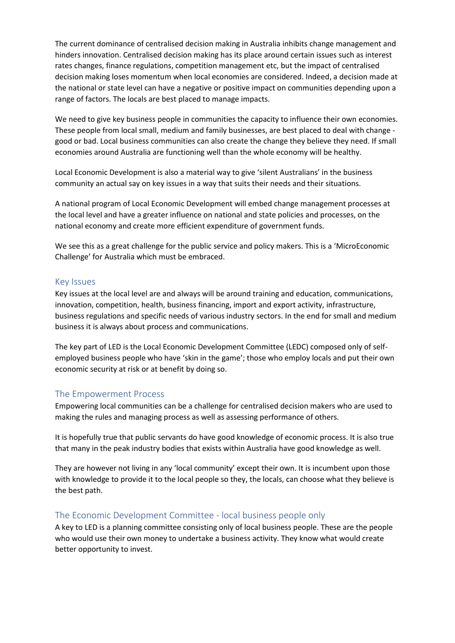The current dominance of centralised decision making in Australia inhibits change management and hinders innovation. Centralised decision making has its place around certain issues such as interest rates changes, finance regulations, competition management etc, but the impact of centralised decision making loses momentum when local economies are considered. Indeed, a decision made at the national or state level can have a negative or positive impact on communities depending upon a range of factors. The locals are best placed to manage impacts.

We need to give key business people in communities the capacity to influence their own economies. These people from local small, medium and family businesses, are best placed to deal with change good or bad. Local business communities can also create the change they believe they need. If small economies around Australia are functioning well than the whole economy will be healthy.

Local Economic Development is also a material way to give 'silent Australians' in the business community an actual say on key issues in a way that suits their needs and their situations.

A national program of Local Economic Development will embed change management processes at the local level and have a greater influence on national and state policies and processes, on the national economy and create more efficient expenditure of government funds.

We see this as a great challenge for the public service and policy makers. This is a 'MicroEconomic Challenge' for Australia which must be embraced.

#### Key Issues

Key issues at the local level are and always will be around training and education, communications, innovation, competition, health, business financing, import and export activity, infrastructure, business regulations and specific needs of various industry sectors. In the end for small and medium business it is always about process and communications.

The key part of LED is the Local Economic Development Committee (LEDC) composed only of selfemployed business people who have 'skin in the game'; those who employ locals and put their own economic security at risk or at benefit by doing so.

#### The Empowerment Process

Empowering local communities can be a challenge for centralised decision makers who are used to making the rules and managing process as well as assessing performance of others.

It is hopefully true that public servants do have good knowledge of economic process. It is also true that many in the peak industry bodies that exists within Australia have good knowledge as well.

They are however not living in any 'local community' except their own. It is incumbent upon those with knowledge to provide it to the local people so they, the locals, can choose what they believe is the best path.

#### The Economic Development Committee - local business people only

A key to LED is a planning committee consisting only of local business people. These are the people who would use their own money to undertake a business activity. They know what would create better opportunity to invest.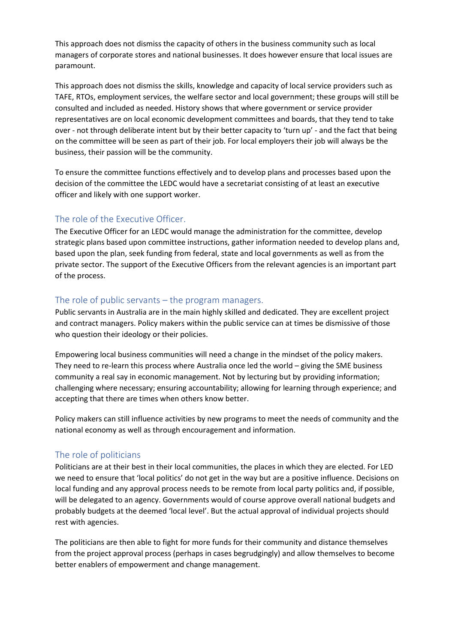This approach does not dismiss the capacity of others in the business community such as local managers of corporate stores and national businesses. It does however ensure that local issues are paramount.

This approach does not dismiss the skills, knowledge and capacity of local service providers such as TAFE, RTOs, employment services, the welfare sector and local government; these groups will still be consulted and included as needed. History shows that where government or service provider representatives are on local economic development committees and boards, that they tend to take over - not through deliberate intent but by their better capacity to 'turn up' - and the fact that being on the committee will be seen as part of their job. For local employers their job will always be the business, their passion will be the community.

To ensure the committee functions effectively and to develop plans and processes based upon the decision of the committee the LEDC would have a secretariat consisting of at least an executive officer and likely with one support worker.

#### The role of the Executive Officer.

The Executive Officer for an LEDC would manage the administration for the committee, develop strategic plans based upon committee instructions, gather information needed to develop plans and, based upon the plan, seek funding from federal, state and local governments as well as from the private sector. The support of the Executive Officers from the relevant agencies is an important part of the process.

#### The role of public servants – the program managers.

Public servants in Australia are in the main highly skilled and dedicated. They are excellent project and contract managers. Policy makers within the public service can at times be dismissive of those who question their ideology or their policies.

Empowering local business communities will need a change in the mindset of the policy makers. They need to re-learn this process where Australia once led the world – giving the SME business community a real say in economic management. Not by lecturing but by providing information; challenging where necessary; ensuring accountability; allowing for learning through experience; and accepting that there are times when others know better.

Policy makers can still influence activities by new programs to meet the needs of community and the national economy as well as through encouragement and information.

#### The role of politicians

Politicians are at their best in their local communities, the places in which they are elected. For LED we need to ensure that 'local politics' do not get in the way but are a positive influence. Decisions on local funding and any approval process needs to be remote from local party politics and, if possible, will be delegated to an agency. Governments would of course approve overall national budgets and probably budgets at the deemed 'local level'. But the actual approval of individual projects should rest with agencies.

The politicians are then able to fight for more funds for their community and distance themselves from the project approval process (perhaps in cases begrudgingly) and allow themselves to become better enablers of empowerment and change management.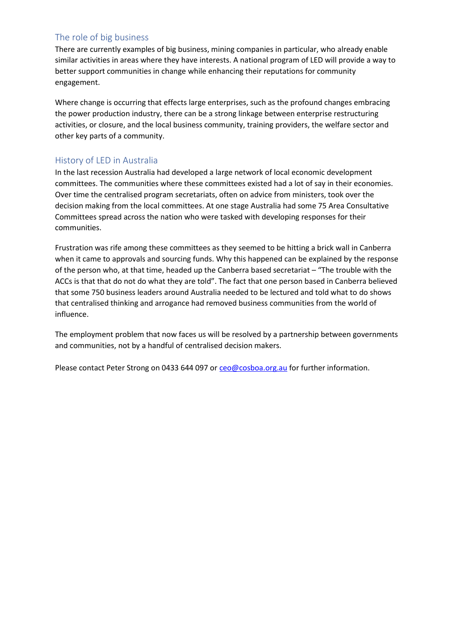#### The role of big business

There are currently examples of big business, mining companies in particular, who already enable similar activities in areas where they have interests. A national program of LED will provide a way to better support communities in change while enhancing their reputations for community engagement.

Where change is occurring that effects large enterprises, such as the profound changes embracing the power production industry, there can be a strong linkage between enterprise restructuring activities, or closure, and the local business community, training providers, the welfare sector and other key parts of a community.

#### History of LED in Australia

In the last recession Australia had developed a large network of local economic development committees. The communities where these committees existed had a lot of say in their economies. Over time the centralised program secretariats, often on advice from ministers, took over the decision making from the local committees. At one stage Australia had some 75 Area Consultative Committees spread across the nation who were tasked with developing responses for their communities.

Frustration was rife among these committees as they seemed to be hitting a brick wall in Canberra when it came to approvals and sourcing funds. Why this happened can be explained by the response of the person who, at that time, headed up the Canberra based secretariat – "The trouble with the ACCs is that that do not do what they are told". The fact that one person based in Canberra believed that some 750 business leaders around Australia needed to be lectured and told what to do shows that centralised thinking and arrogance had removed business communities from the world of influence.

The employment problem that now faces us will be resolved by a partnership between governments and communities, not by a handful of centralised decision makers.

Please contact Peter Strong on 0433 644 097 or [ceo@cosboa.org.au](mailto:ceo@cosboa.org.au) for further information.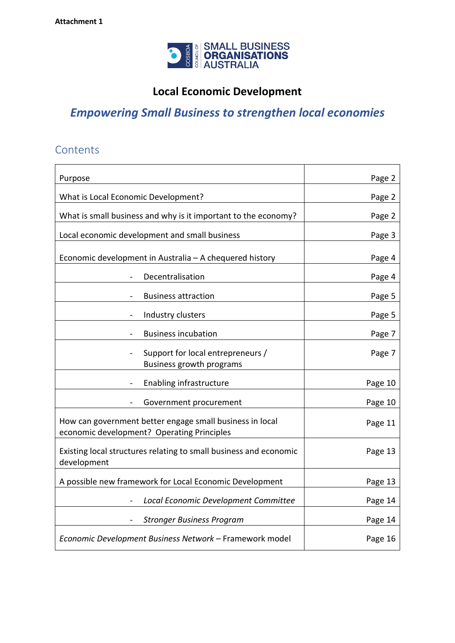

# **Local Economic Development**

# *Empowering Small Business to strengthen local economies*

## **Contents**

| Purpose                                                                                                | Page 2  |
|--------------------------------------------------------------------------------------------------------|---------|
| What is Local Economic Development?                                                                    | Page 2  |
| What is small business and why is it important to the economy?                                         | Page 2  |
| Local economic development and small business                                                          | Page 3  |
| Economic development in Australia - A chequered history                                                | Page 4  |
| Decentralisation                                                                                       | Page 4  |
| <b>Business attraction</b>                                                                             | Page 5  |
| Industry clusters                                                                                      | Page 5  |
| <b>Business incubation</b>                                                                             | Page 7  |
| Support for local entrepreneurs /<br>Business growth programs                                          | Page 7  |
| Enabling infrastructure                                                                                | Page 10 |
| Government procurement                                                                                 | Page 10 |
| How can government better engage small business in local<br>economic development? Operating Principles | Page 11 |
| Existing local structures relating to small business and economic<br>development                       | Page 13 |
| A possible new framework for Local Economic Development                                                | Page 13 |
| Local Economic Development Committee                                                                   | Page 14 |
| <b>Stronger Business Program</b>                                                                       | Page 14 |
| Economic Development Business Network - Framework model                                                | Page 16 |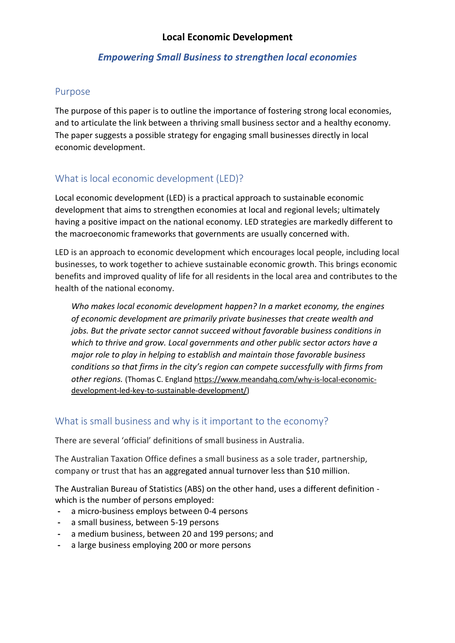#### **Local Economic Development**

#### *Empowering Small Business to strengthen local economies*

#### Purpose

The purpose of this paper is to outline the importance of fostering strong local economies, and to articulate the link between a thriving small business sector and a healthy economy. The paper suggests a possible strategy for engaging small businesses directly in local economic development.

### What is local economic development (LED)?

Local economic development (LED) is a practical approach to sustainable economic development that aims to strengthen economies at local and regional levels; ultimately having a positive impact on the national economy. LED strategies are markedly different to the macroeconomic frameworks that governments are usually concerned with.

LED is an approach to economic development which encourages local people, including local businesses, to work together to achieve sustainable economic growth. This brings economic benefits and improved quality of life for all residents in the local area and contributes to the health of the national economy.

*Who makes local economic development happen? In a market economy, the engines of economic development are primarily private businesses that create wealth and jobs. But the private sector cannot succeed without favorable business conditions in which to thrive and grow. Local governments and other public sector actors have a major role to play in helping to establish and maintain those favorable business conditions so that firms in the city's region can compete successfully with firms from other regions.* (Thomas C. England [https://www.meandahq.com/why-is-local-economic](https://www.meandahq.com/why-is-local-economic-development-led-key-to-sustainable-development/)[development-led-key-to-sustainable-development/\)](https://www.meandahq.com/why-is-local-economic-development-led-key-to-sustainable-development/)

#### What is small business and why is it important to the economy?

There are several 'official' definitions of small business in Australia.

The Australian Taxation Office defines a small business as a sole trader, partnership, company or trust that has an aggregated annual turnover less than \$10 million.

The Australian Bureau of Statistics (ABS) on the other hand, uses a different definition which is the number of persons employed:

- **-** a micro-business employs between 0-4 persons
- **-** a small business, between 5-19 persons
- **-** a medium business, between 20 and 199 persons; and
- **-** a large business employing 200 or more persons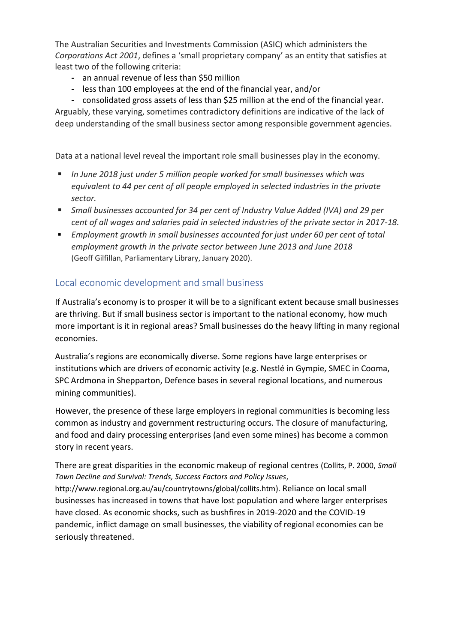The Australian Securities and Investments Commission (ASIC) which administers the *Corporations Act 2001*, defines a 'small proprietary company' as an entity that satisfies at least two of the following criteria:

- **-** an annual revenue of less than \$50 million
- **-** less than 100 employees at the end of the financial year, and/or

**-** consolidated gross assets of less than \$25 million at the end of the financial year.

Arguably, these varying, sometimes contradictory definitions are indicative of the lack of deep understanding of the small business sector among responsible government agencies.

Data at a national level reveal the important role small businesses play in the economy.

- In June 2018 just under 5 million people worked for small businesses which was *equivalent to 44 per cent of all people employed in selected industries in the private sector.*
- Small businesses accounted for 34 per cent of Industry Value Added (IVA) and 29 per *cent of all wages and salaries paid in selected industries of the private sector in 2017-18.*
- *Employment growth in small businesses accounted for just under 60 per cent of total employment growth in the private sector between June 2013 and June 2018*  (Geoff Gilfillan, Parliamentary Library, January 2020).

### Local economic development and small business

If Australia's economy is to prosper it will be to a significant extent because small businesses are thriving. But if small business sector is important to the national economy, how much more important is it in regional areas? Small businesses do the heavy lifting in many regional economies.

Australia's regions are economically diverse. Some regions have large enterprises or institutions which are drivers of economic activity (e.g. Nestlé in Gympie, SMEC in Cooma, SPC Ardmona in Shepparton, Defence bases in several regional locations, and numerous mining communities).

However, the presence of these large employers in regional communities is becoming less common as industry and government restructuring occurs. The closure of manufacturing, and food and dairy processing enterprises (and even some mines) has become a common story in recent years.

There are great disparities in the economic makeup of regional centres (Collits, P. 2000, *Small Town Decline and Survival: Trends, Success Factors and Policy Issues*,

[http://www.regional.org.au/au/countrytowns/global/collits.htm\)](http://www.regional.org.au/au/countrytowns/global/collits.htm). Reliance on local small businesses has increased in towns that have lost population and where larger enterprises have closed. As economic shocks, such as bushfires in 2019-2020 and the COVID-19 pandemic, inflict damage on small businesses, the viability of regional economies can be seriously threatened.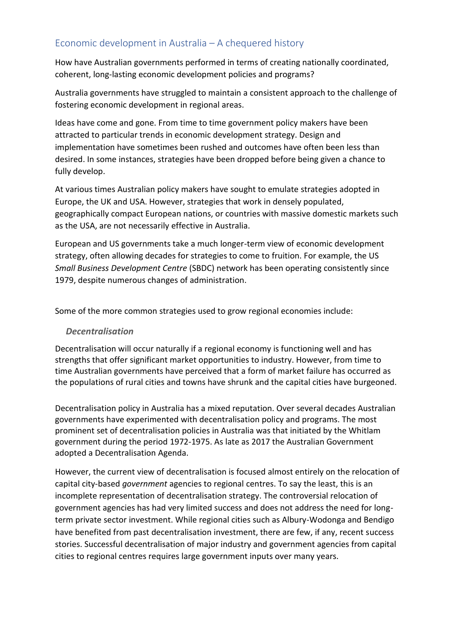### Economic development in Australia – A chequered history

How have Australian governments performed in terms of creating nationally coordinated, coherent, long-lasting economic development policies and programs?

Australia governments have struggled to maintain a consistent approach to the challenge of fostering economic development in regional areas.

Ideas have come and gone. From time to time government policy makers have been attracted to particular trends in economic development strategy. Design and implementation have sometimes been rushed and outcomes have often been less than desired. In some instances, strategies have been dropped before being given a chance to fully develop.

At various times Australian policy makers have sought to emulate strategies adopted in Europe, the UK and USA. However, strategies that work in densely populated, geographically compact European nations, or countries with massive domestic markets such as the USA, are not necessarily effective in Australia.

European and US governments take a much longer-term view of economic development strategy, often allowing decades for strategies to come to fruition. For example, the US *Small Business Development Centre* (SBDC) network has been operating consistently since 1979, despite numerous changes of administration.

Some of the more common strategies used to grow regional economies include:

#### *Decentralisation*

Decentralisation will occur naturally if a regional economy is functioning well and has strengths that offer significant market opportunities to industry. However, from time to time Australian governments have perceived that a form of market failure has occurred as the populations of rural cities and towns have shrunk and the capital cities have burgeoned.

Decentralisation policy in Australia has a mixed reputation. Over several decades Australian governments have experimented with decentralisation policy and programs. The most prominent set of decentralisation policies in Australia was that initiated by the Whitlam government during the period 1972-1975. As late as 2017 the Australian Government adopted a Decentralisation Agenda.

However, the current view of decentralisation is focused almost entirely on the relocation of capital city-based *government* agencies to regional centres. To say the least, this is an incomplete representation of decentralisation strategy. The controversial relocation of government agencies has had very limited success and does not address the need for longterm private sector investment. While regional cities such as Albury-Wodonga and Bendigo have benefited from past decentralisation investment, there are few, if any, recent success stories. Successful decentralisation of major industry and government agencies from capital cities to regional centres requires large government inputs over many years.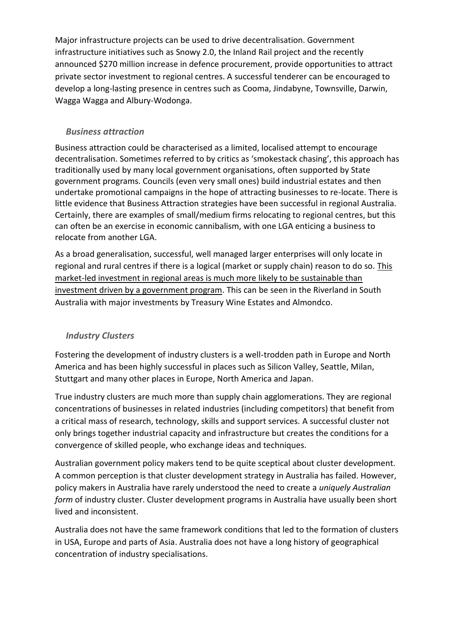Major infrastructure projects can be used to drive decentralisation. Government infrastructure initiatives such as Snowy 2.0, the Inland Rail project and the recently announced \$270 million increase in defence procurement, provide opportunities to attract private sector investment to regional centres. A successful tenderer can be encouraged to develop a long-lasting presence in centres such as Cooma, Jindabyne, Townsville, Darwin, Wagga Wagga and Albury-Wodonga.

#### *Business attraction*

Business attraction could be characterised as a limited, localised attempt to encourage decentralisation. Sometimes referred to by critics as 'smokestack chasing', this approach has traditionally used by many local government organisations, often supported by State government programs. Councils (even very small ones) build industrial estates and then undertake promotional campaigns in the hope of attracting businesses to re-locate. There is little evidence that Business Attraction strategies have been successful in regional Australia. Certainly, there are examples of small/medium firms relocating to regional centres, but this can often be an exercise in economic cannibalism, with one LGA enticing a business to relocate from another LGA.

As a broad generalisation, successful, well managed larger enterprises will only locate in regional and rural centres if there is a logical (market or supply chain) reason to do so. This market-led investment in regional areas is much more likely to be sustainable than investment driven by a government program. This can be seen in the Riverland in South Australia with major investments by Treasury Wine Estates and Almondco.

### *Industry Clusters*

Fostering the development of industry clusters is a well-trodden path in Europe and North America and has been highly successful in places such as Silicon Valley, Seattle, Milan, Stuttgart and many other places in Europe, North America and Japan.

True industry clusters are much more than supply chain agglomerations. They are regional concentrations of businesses in related industries (including competitors) that benefit from a critical mass of research, technology, skills and support services. A successful cluster not only brings together industrial capacity and infrastructure but creates the conditions for a convergence of skilled people, who exchange ideas and techniques.

Australian government policy makers tend to be quite sceptical about cluster development. A common perception is that cluster development strategy in Australia has failed. However, policy makers in Australia have rarely understood the need to create a *uniquely Australian form* of industry cluster. Cluster development programs in Australia have usually been short lived and inconsistent.

Australia does not have the same framework conditions that led to the formation of clusters in USA, Europe and parts of Asia. Australia does not have a long history of geographical concentration of industry specialisations.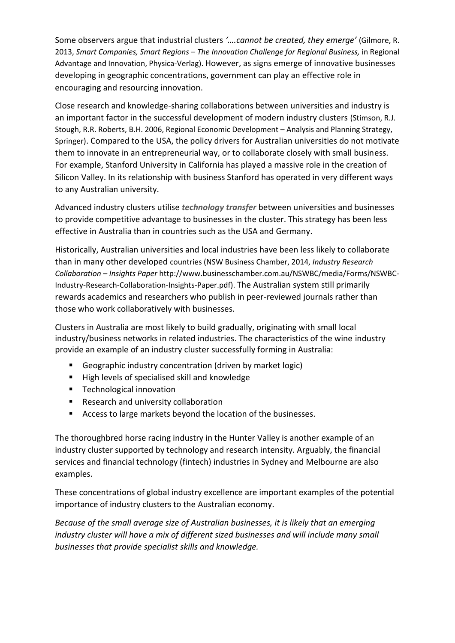Some observers argue that industrial clusters *'….cannot be created, they emerge'* (Gilmore, R. 2013, *Smart Companies, Smart Regions – The Innovation Challenge for Regional Business,* in Regional Advantage and Innovation, Physica-Verlag). However, as signs emerge of innovative businesses developing in geographic concentrations, government can play an effective role in encouraging and resourcing innovation.

Close research and knowledge-sharing collaborations between universities and industry is an important factor in the successful development of modern industry clusters (Stimson, R.J. Stough, R.R. Roberts, B.H. 2006, Regional Economic Development – Analysis and Planning Strategy, Springer). Compared to the USA, the policy drivers for Australian universities do not motivate them to innovate in an entrepreneurial way, or to collaborate closely with small business. For example, Stanford University in California has played a massive role in the creation of Silicon Valley. In its relationship with business Stanford has operated in very different ways to any Australian university.

Advanced industry clusters utilise *technology transfer* between universities and businesses to provide competitive advantage to businesses in the cluster. This strategy has been less effective in Australia than in countries such as the USA and Germany.

Historically, Australian universities and local industries have been less likely to collaborate than in many other developed countries (NSW Business Chamber, 2014, *Industry Research Collaboration – Insights Paper* [http://www.businesschamber.com.au/NSWBC/media/Forms/NSWBC-](http://www.businesschamber.com.au/NSWBC/media/Forms/NSWBC-Industry-Research-Collaboration-Insights-Paper.pdf)[Industry-Research-Collaboration-Insights-Paper.pdf\)](http://www.businesschamber.com.au/NSWBC/media/Forms/NSWBC-Industry-Research-Collaboration-Insights-Paper.pdf). The Australian system still primarily rewards academics and researchers who publish in peer-reviewed journals rather than those who work collaboratively with businesses.

Clusters in Australia are most likely to build gradually, originating with small local industry/business networks in related industries. The characteristics of the wine industry provide an example of an industry cluster successfully forming in Australia:

- Geographic industry concentration (driven by market logic)
- High levels of specialised skill and knowledge
- Technological innovation
- Research and university collaboration
- Access to large markets beyond the location of the businesses.

The thoroughbred horse racing industry in the Hunter Valley is another example of an industry cluster supported by technology and research intensity. Arguably, the financial services and financial technology (fintech) industries in Sydney and Melbourne are also examples.

These concentrations of global industry excellence are important examples of the potential importance of industry clusters to the Australian economy.

*Because of the small average size of Australian businesses, it is likely that an emerging industry cluster will have a mix of different sized businesses and will include many small businesses that provide specialist skills and knowledge.*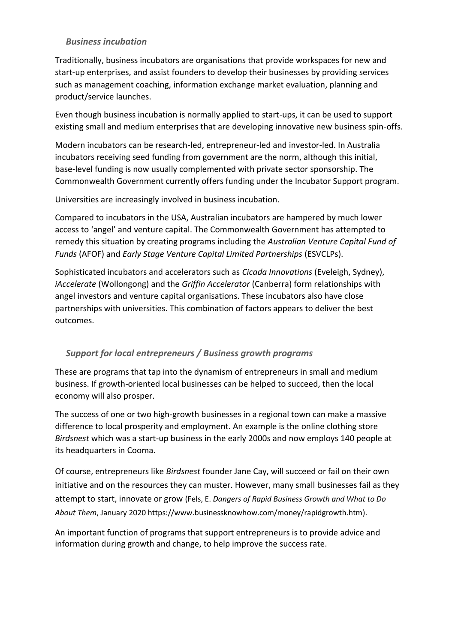#### *Business incubation*

Traditionally, business incubators are organisations that provide workspaces for new and start-up enterprises, and assist founders to develop their businesses by providing services such as management coaching, information exchange market evaluation, planning and product/service launches.

Even though business incubation is normally applied to start-ups, it can be used to support existing small and medium enterprises that are developing innovative new business spin-offs.

Modern incubators can be research-led, entrepreneur-led and investor-led. In Australia incubators receiving seed funding from government are the norm, although this initial, base-level funding is now usually complemented with private sector sponsorship. The Commonwealth Government currently offers funding under the Incubator Support program.

Universities are increasingly involved in business incubation.

Compared to incubators in the USA, Australian incubators are hampered by much lower access to 'angel' and venture capital. The Commonwealth Government has attempted to remedy this situation by creating programs including the *Australian Venture Capital Fund of Funds* (AFOF) and *Early Stage Venture Capital Limited Partnerships* (ESVCLPs).

Sophisticated incubators and accelerators such as *Cicada Innovations* (Eveleigh, Sydney), *iAccelerate* (Wollongong) and the *Griffin Accelerator* (Canberra) form relationships with angel investors and venture capital organisations. These incubators also have close partnerships with universities. This combination of factors appears to deliver the best outcomes.

#### *Support for local entrepreneurs / Business growth programs*

These are programs that tap into the dynamism of entrepreneurs in small and medium business. If growth-oriented local businesses can be helped to succeed, then the local economy will also prosper.

The success of one or two high-growth businesses in a regional town can make a massive difference to local prosperity and employment. An example is the online clothing store *Birdsnest* which was a start-up business in the early 2000s and now employs 140 people at its headquarters in Cooma.

Of course, entrepreneurs like *Birdsnest* founder Jane Cay, will succeed or fail on their own initiative and on the resources they can muster. However, many small businesses fail as they attempt to start, innovate or grow (Fels, E. *Dangers of Rapid Business Growth and What to Do About Them*, January 2020 [https://www.businessknowhow.com/money/rapidgrowth.htm\)](https://www.businessknowhow.com/money/rapidgrowth.htm).

An important function of programs that support entrepreneurs is to provide advice and information during growth and change, to help improve the success rate.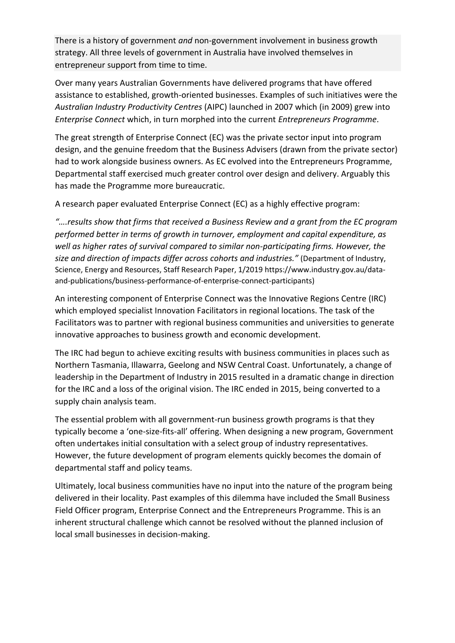There is a history of government *and* non-government involvement in business growth strategy. All three levels of government in Australia have involved themselves in entrepreneur support from time to time.

Over many years Australian Governments have delivered programs that have offered assistance to established, growth-oriented businesses. Examples of such initiatives were the *Australian Industry Productivity Centres* (AIPC) launched in 2007 which (in 2009) grew into *Enterprise Connect* which, in turn morphed into the current *Entrepreneurs Programme*.

The great strength of Enterprise Connect (EC) was the private sector input into program design, and the genuine freedom that the Business Advisers (drawn from the private sector) had to work alongside business owners. As EC evolved into the Entrepreneurs Programme, Departmental staff exercised much greater control over design and delivery. Arguably this has made the Programme more bureaucratic.

A research paper evaluated Enterprise Connect (EC) as a highly effective program:

*"….results show that firms that received a Business Review and a grant from the EC program performed better in terms of growth in turnover, employment and capital expenditure, as well as higher rates of survival compared to similar non-participating firms. However, the size and direction of impacts differ across cohorts and industries."* (Department of Industry, Science, Energy and Resources, Staff Research Paper, 1/2019 [https://www.industry.gov.au/data](https://www.industry.gov.au/data-and-publications/business-performance-of-enterprise-connect-participants)[and-publications/business-performance-of-enterprise-connect-participants\)](https://www.industry.gov.au/data-and-publications/business-performance-of-enterprise-connect-participants)

An interesting component of Enterprise Connect was the Innovative Regions Centre (IRC) which employed specialist Innovation Facilitators in regional locations. The task of the Facilitators was to partner with regional business communities and universities to generate innovative approaches to business growth and economic development.

The IRC had begun to achieve exciting results with business communities in places such as Northern Tasmania, Illawarra, Geelong and NSW Central Coast. Unfortunately, a change of leadership in the Department of Industry in 2015 resulted in a dramatic change in direction for the IRC and a loss of the original vision. The IRC ended in 2015, being converted to a supply chain analysis team.

The essential problem with all government-run business growth programs is that they typically become a 'one-size-fits-all' offering. When designing a new program, Government often undertakes initial consultation with a select group of industry representatives. However, the future development of program elements quickly becomes the domain of departmental staff and policy teams.

Ultimately, local business communities have no input into the nature of the program being delivered in their locality. Past examples of this dilemma have included the Small Business Field Officer program, Enterprise Connect and the Entrepreneurs Programme. This is an inherent structural challenge which cannot be resolved without the planned inclusion of local small businesses in decision-making.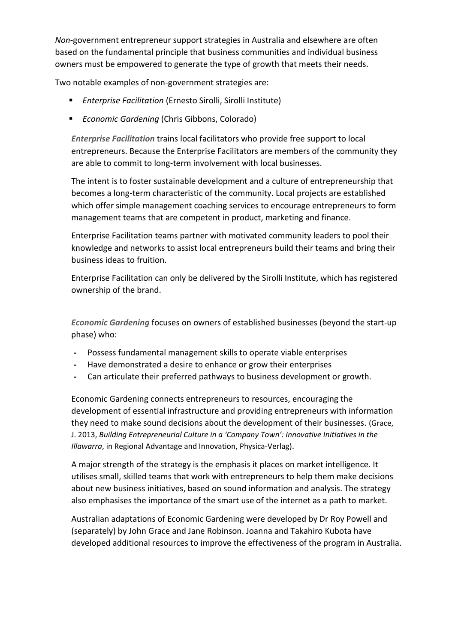*Non*-government entrepreneur support strategies in Australia and elsewhere are often based on the fundamental principle that business communities and individual business owners must be empowered to generate the type of growth that meets their needs.

Two notable examples of non-government strategies are:

- *Enterprise Facilitation* (Ernesto Sirolli, Sirolli Institute)
- *Economic Gardening* (Chris Gibbons, Colorado)

*Enterprise Facilitation* trains local facilitators who provide free support to local entrepreneurs. Because the Enterprise Facilitators are members of the community they are able to commit to long-term involvement with local businesses.

The intent is to foster sustainable development and a culture of entrepreneurship that becomes a long-term characteristic of the community. Local projects are established which offer simple management coaching services to encourage entrepreneurs to form management teams that are competent in product, marketing and finance.

Enterprise Facilitation teams partner with motivated community leaders to pool their knowledge and networks to assist local entrepreneurs build their teams and bring their business ideas to fruition.

Enterprise Facilitation can only be delivered by the Sirolli Institute, which has registered ownership of the brand.

*Economic Gardening* focuses on owners of established businesses (beyond the start-up phase) who:

- **-** Possess fundamental management skills to operate viable enterprises
- **-** Have demonstrated a desire to enhance or grow their enterprises
- **-** Can articulate their preferred pathways to business development or growth.

Economic Gardening connects entrepreneurs to resources, encouraging the development of essential infrastructure and providing entrepreneurs with information they need to make sound decisions about the development of their businesses. (Grace, J. 2013, *Building Entrepreneurial Culture in a 'Company Town': Innovative Initiatives in the Illawarra*, in Regional Advantage and Innovation, Physica-Verlag).

A major strength of the strategy is the emphasis it places on market intelligence. It utilises small, skilled teams that work with entrepreneurs to help them make decisions about new business initiatives, based on sound information and analysis. The strategy also emphasises the importance of the smart use of the internet as a path to market.

Australian adaptations of Economic Gardening were developed by Dr Roy Powell and (separately) by John Grace and Jane Robinson. Joanna and Takahiro Kubota have developed additional resources to improve the effectiveness of the program in Australia.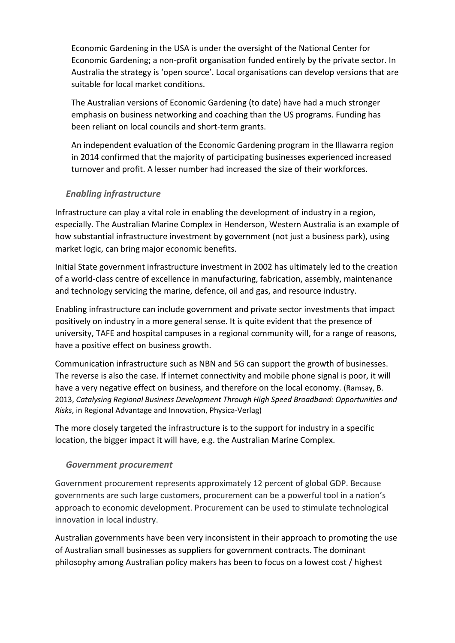Economic Gardening in the USA is under the oversight of the National Center for Economic Gardening; a non-profit organisation funded entirely by the private sector. In Australia the strategy is 'open source'. Local organisations can develop versions that are suitable for local market conditions.

The Australian versions of Economic Gardening (to date) have had a much stronger emphasis on business networking and coaching than the US programs. Funding has been reliant on local councils and short-term grants.

An independent evaluation of the Economic Gardening program in the Illawarra region in 2014 confirmed that the majority of participating businesses experienced increased turnover and profit. A lesser number had increased the size of their workforces.

#### *Enabling infrastructure*

Infrastructure can play a vital role in enabling the development of industry in a region, especially. The Australian Marine Complex in Henderson, Western Australia is an example of how substantial infrastructure investment by government (not just a business park), using market logic, can bring major economic benefits.

Initial State government infrastructure investment in 2002 has ultimately led to the creation of a world-class centre of excellence in manufacturing, fabrication, assembly, maintenance and technology servicing the marine, defence, oil and gas, and resource industry.

Enabling infrastructure can include government and private sector investments that impact positively on industry in a more general sense. It is quite evident that the presence of university, TAFE and hospital campuses in a regional community will, for a range of reasons, have a positive effect on business growth.

Communication infrastructure such as NBN and 5G can support the growth of businesses. The reverse is also the case. If internet connectivity and mobile phone signal is poor, it will have a very negative effect on business, and therefore on the local economy. (Ramsay, B. 2013, *Catalysing Regional Business Development Through High Speed Broadband: Opportunities and Risks*, in Regional Advantage and Innovation, Physica-Verlag)

The more closely targeted the infrastructure is to the support for industry in a specific location, the bigger impact it will have, e.g. the Australian Marine Complex.

#### *Government procurement*

Government procurement represents approximately 12 percent of global GDP. Because governments are such large customers, procurement can be a powerful tool in a nation's approach to economic development. Procurement can be used to stimulate technological innovation in local industry.

Australian governments have been very inconsistent in their approach to promoting the use of Australian small businesses as suppliers for government contracts. The dominant philosophy among Australian policy makers has been to focus on a lowest cost / highest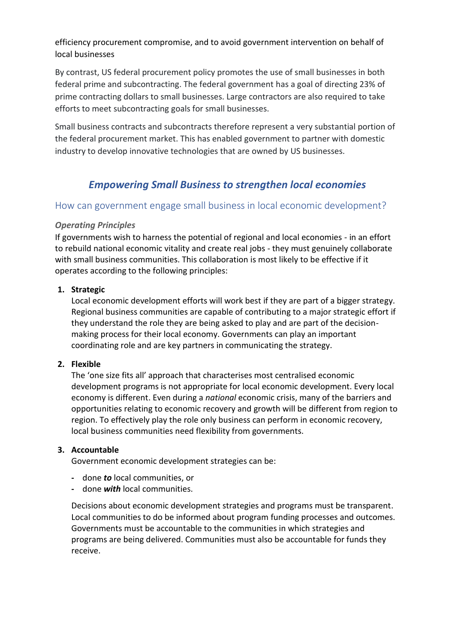efficiency procurement compromise, and to avoid government intervention on behalf of local businesses

By contrast, US federal procurement policy promotes the use of small businesses in both federal prime and subcontracting. The federal government has a goal of directing 23% of prime contracting dollars to small businesses. Large contractors are also required to take efforts to meet subcontracting goals for small businesses.

Small business contracts and subcontracts therefore represent a very substantial portion of the federal procurement market. This has enabled government to partner with domestic industry to develop innovative technologies that are owned by US businesses.

### *Empowering Small Business to strengthen local economies*

#### How can government engage small business in local economic development?

#### *Operating Principles*

If governments wish to harness the potential of regional and local economies - in an effort to rebuild national economic vitality and create real jobs - they must genuinely collaborate with small business communities. This collaboration is most likely to be effective if it operates according to the following principles:

#### **1. Strategic**

Local economic development efforts will work best if they are part of a bigger strategy. Regional business communities are capable of contributing to a major strategic effort if they understand the role they are being asked to play and are part of the decisionmaking process for their local economy. Governments can play an important coordinating role and are key partners in communicating the strategy.

#### **2. Flexible**

The 'one size fits all' approach that characterises most centralised economic development programs is not appropriate for local economic development. Every local economy is different. Even during a *national* economic crisis, many of the barriers and opportunities relating to economic recovery and growth will be different from region to region. To effectively play the role only business can perform in economic recovery, local business communities need flexibility from governments.

#### **3. Accountable**

Government economic development strategies can be:

- **-** done *to* local communities, or
- **-** done *with* local communities.

Decisions about economic development strategies and programs must be transparent. Local communities to do be informed about program funding processes and outcomes. Governments must be accountable to the communities in which strategies and programs are being delivered. Communities must also be accountable for funds they receive.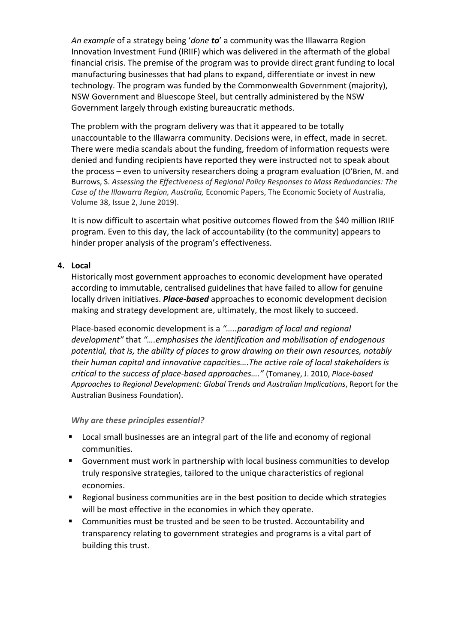*An example* of a strategy being '*done to*' a community was the Illawarra Region Innovation Investment Fund (IRIIF) which was delivered in the aftermath of the global financial crisis. The premise of the program was to provide direct grant funding to local manufacturing businesses that had plans to expand, differentiate or invest in new technology. The program was funded by the Commonwealth Government (majority), NSW Government and Bluescope Steel, but centrally administered by the NSW Government largely through existing bureaucratic methods.

The problem with the program delivery was that it appeared to be totally unaccountable to the Illawarra community. Decisions were, in effect, made in secret. There were media scandals about the funding, freedom of information requests were denied and funding recipients have reported they were instructed not to speak about the process – even to university researchers doing a program evaluation (O'Brien, M. and Burrows, S. *Assessing the Effectiveness of Regional Policy Responses to Mass Redundancies: The Case of the Illawarra Region, Australia,* Economic Papers, The Economic Society of Australia, Volume 38, Issue 2, June 2019).

It is now difficult to ascertain what positive outcomes flowed from the \$40 million IRIIF program. Even to this day, the lack of accountability (to the community) appears to hinder proper analysis of the program's effectiveness.

#### **4. Local**

Historically most government approaches to economic development have operated according to immutable, centralised guidelines that have failed to allow for genuine locally driven initiatives. *Place-based* approaches to economic development decision making and strategy development are, ultimately, the most likely to succeed.

Place-based economic development is a *"…..paradigm of local and regional development"* that *"….emphasises the identification and mobilisation of endogenous potential, that is, the ability of places to grow drawing on their own resources, notably their human capital and innovative capacities….The active role of local stakeholders is critical to the success of place-based approaches…."* (Tomaney, J. 2010, *Place-based Approaches to Regional Development: Global Trends and Australian Implications*, Report for the Australian Business Foundation).

#### *Why are these principles essential?*

- Local small businesses are an integral part of the life and economy of regional communities.
- Government must work in partnership with local business communities to develop truly responsive strategies, tailored to the unique characteristics of regional economies.
- Regional business communities are in the best position to decide which strategies will be most effective in the economies in which they operate.
- Communities must be trusted and be seen to be trusted. Accountability and transparency relating to government strategies and programs is a vital part of building this trust.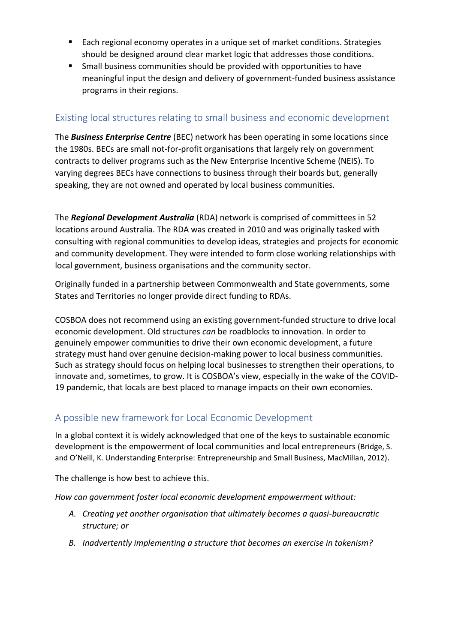- Each regional economy operates in a unique set of market conditions. Strategies should be designed around clear market logic that addresses those conditions.
- Small business communities should be provided with opportunities to have meaningful input the design and delivery of government-funded business assistance programs in their regions.

### Existing local structures relating to small business and economic development

The *Business Enterprise Centre* (BEC) network has been operating in some locations since the 1980s. BECs are small not-for-profit organisations that largely rely on government contracts to deliver programs such as the New Enterprise Incentive Scheme (NEIS). To varying degrees BECs have connections to business through their boards but, generally speaking, they are not owned and operated by local business communities.

The *Regional Development Australia* (RDA) network is comprised of committees in 52 locations around Australia. The RDA was created in 2010 and was originally tasked with consulting with regional communities to develop ideas, strategies and projects for economic and community development. They were intended to form close working relationships with local government, business organisations and the community sector.

Originally funded in a partnership between Commonwealth and State governments, some States and Territories no longer provide direct funding to RDAs.

COSBOA does not recommend using an existing government-funded structure to drive local economic development. Old structures *can* be roadblocks to innovation. In order to genuinely empower communities to drive their own economic development, a future strategy must hand over genuine decision-making power to local business communities. Such as strategy should focus on helping local businesses to strengthen their operations, to innovate and, sometimes, to grow. It is COSBOA's view, especially in the wake of the COVID-19 pandemic, that locals are best placed to manage impacts on their own economies.

### A possible new framework for Local Economic Development

In a global context it is widely acknowledged that one of the keys to sustainable economic development is the empowerment of local communities and local entrepreneurs (Bridge, S. and O'Neill, K. Understanding Enterprise: Entrepreneurship and Small Business, MacMillan, 2012).

The challenge is how best to achieve this.

*How can government foster local economic development empowerment without:* 

- *A. Creating yet another organisation that ultimately becomes a quasi-bureaucratic structure; or*
- *B. Inadvertently implementing a structure that becomes an exercise in tokenism?*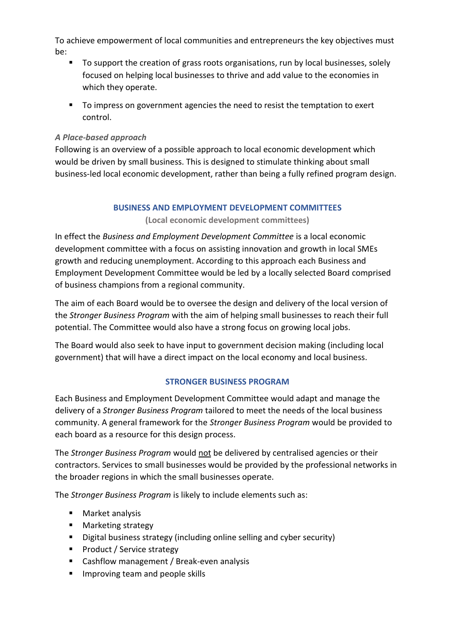To achieve empowerment of local communities and entrepreneurs the key objectives must be:

- To support the creation of grass roots organisations, run by local businesses, solely focused on helping local businesses to thrive and add value to the economies in which they operate.
- To impress on government agencies the need to resist the temptation to exert control.

#### *A Place-based approach*

Following is an overview of a possible approach to local economic development which would be driven by small business. This is designed to stimulate thinking about small business-led local economic development, rather than being a fully refined program design.

#### **BUSINESS AND EMPLOYMENT DEVELOPMENT COMMITTEES**

**(Local economic development committees)**

In effect the *Business and Employment Development Committee* is a local economic development committee with a focus on assisting innovation and growth in local SMEs growth and reducing unemployment. According to this approach each Business and Employment Development Committee would be led by a locally selected Board comprised of business champions from a regional community.

The aim of each Board would be to oversee the design and delivery of the local version of the *Stronger Business Program* with the aim of helping small businesses to reach their full potential. The Committee would also have a strong focus on growing local jobs.

The Board would also seek to have input to government decision making (including local government) that will have a direct impact on the local economy and local business.

#### **STRONGER BUSINESS PROGRAM**

Each Business and Employment Development Committee would adapt and manage the delivery of a *Stronger Business Program* tailored to meet the needs of the local business community. A general framework for the *Stronger Business Program* would be provided to each board as a resource for this design process.

The *Stronger Business Program* would not be delivered by centralised agencies or their contractors. Services to small businesses would be provided by the professional networks in the broader regions in which the small businesses operate.

The *Stronger Business Program* is likely to include elements such as:

- Market analysis
- Marketing strategy
- Digital business strategy (including online selling and cyber security)
- Product / Service strategy
- Cashflow management / Break-even analysis
- **■** Improving team and people skills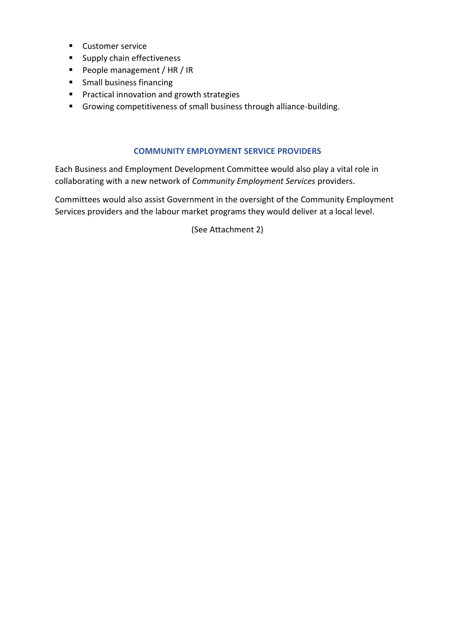- Customer service
- Supply chain effectiveness
- People management / HR / IR
- Small business financing
- Practical innovation and growth strategies
- Growing competitiveness of small business through alliance-building.

#### **COMMUNITY EMPLOYMENT SERVICE PROVIDERS**

Each Business and Employment Development Committee would also play a vital role in collaborating with a new network of *Community Employment Services* providers.

Committees would also assist Government in the oversight of the Community Employment Services providers and the labour market programs they would deliver at a local level.

(See Attachment 2)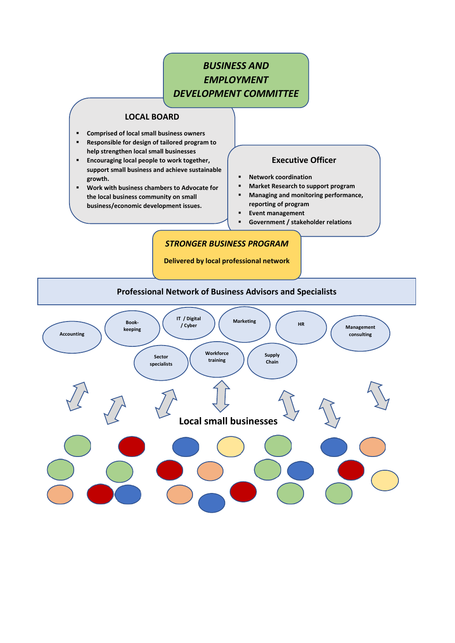# *BUSINESS AND EMPLOYMENT DEVELOPMENT COMMITTEE*

#### **LOCAL BOARD**

- **Comprised of local small business owners**
- **Responsible for design of tailored program to help strengthen local small businesses**
- **Encouraging local people to work together, support small business and achieve sustainable growth.**
- **Work with business chambers to Advocate for the local business community on small business/economic development issues.**

#### **Executive Officer**

- **Network coordination**
- **Market Research to support program**
- **Managing and monitoring performance, reporting of program**
- **Event management**
- **Government / stakeholder relations**

#### *STRONGER BUSINESS PROGRAM*

**Delivered by local professional network**

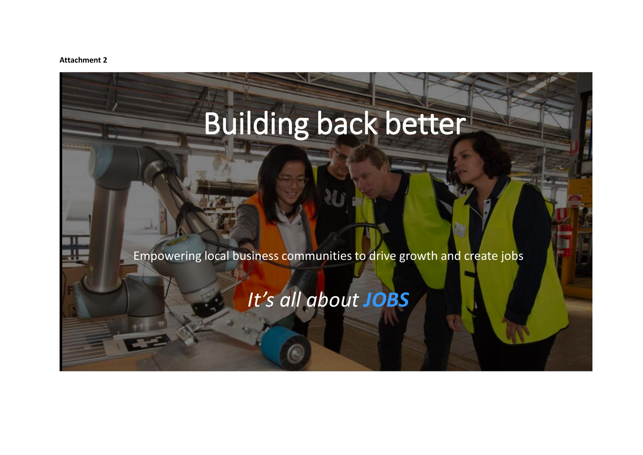#### **Attachment 2**

# Building back better

Empowering local business communities to drive growth and create jobs

# *It's all about JOBS*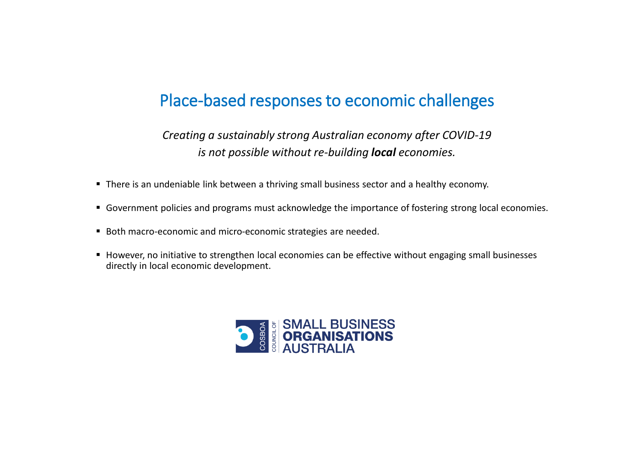# Place-based responses to economic challenges

*Creating a sustainably strong Australian economy after COVID-19 is not possible without re-building local economies.*

- There is an undeniable link between a thriving small business sector and a healthy economy.
- Government policies and programs must acknowledge the importance of fostering strong local economies.
- Both macro-economic and micro-economic strategies are needed.
- However, no initiative to strengthen local economies can be effective without engaging small businesses directly in local economic development.

![](_page_21_Picture_6.jpeg)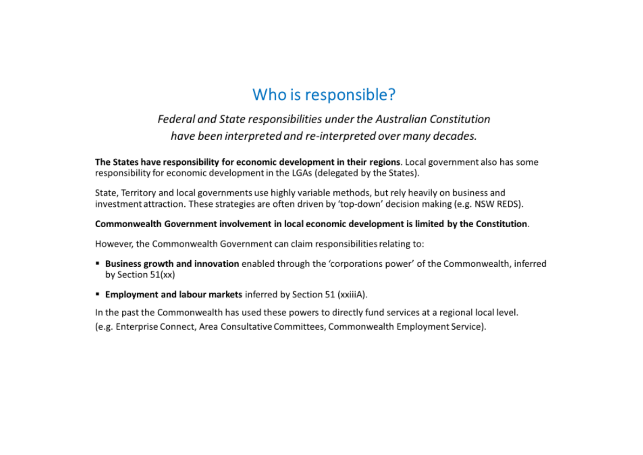# Who is responsible?

# Federal and State responsibilities under the Australian Constitution have been interpreted and re-interpreted over many decades.

The States have responsibility for economic development in their regions. Local government also has some responsibility for economic development in the LGAs (delegated by the States).

State, Territory and local governments use highly variable methods, but rely heavily on business and investment attraction. These strategies are often driven by 'top-down' decision making (e.g. NSW REDS).

#### Commonwealth Government involvement in local economic development is limited by the Constitution.

However, the Commonwealth Government can claim responsibilities relating to:

- Business growth and innovation enabled through the 'corporations power' of the Commonwealth, inferred by Section 51(xx)
- **Employment and labour markets inferred by Section 51 (xxiiiA).**

In the past the Commonwealth has used these powers to directly fund services at a regional local level. (e.g. Enterprise Connect, Area Consultative Committees, Commonwealth Employment Service).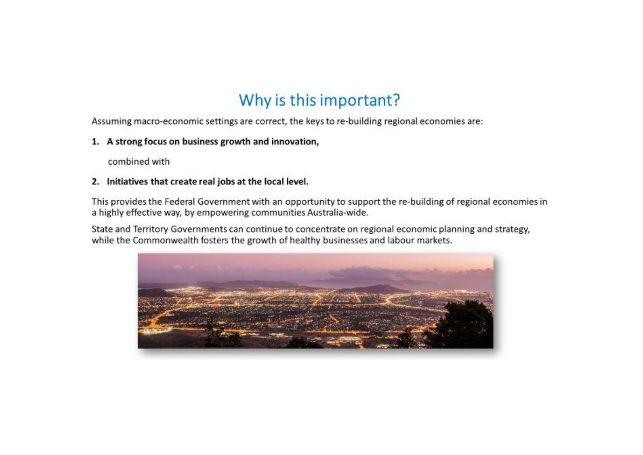# Why is this important?

Assuming macro-economic settings are correct, the keys to re-building regional economies are:

#### 1. A strong focus on business growth and innovation,

combined with

#### 2. Initiatives that create real jobs at the local level.

This provides the Federal Government with an opportunity to support the re-building of regional economies in a highly effective way, by empowering communities Australia-wide.

State and Territory Governments can continue to concentrate on regional economic planning and strategy, while the Commonwealth fosters the growth of healthy businesses and labour markets.

![](_page_23_Picture_7.jpeg)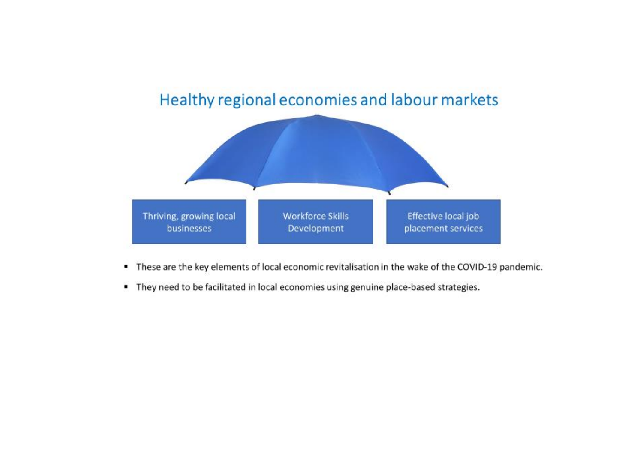![](_page_24_Figure_0.jpeg)

- " These are the key elements of local economic revitalisation in the wake of the COVID-19 pandemic.
- " They need to be facilitated in local economies using genuine place-based strategies.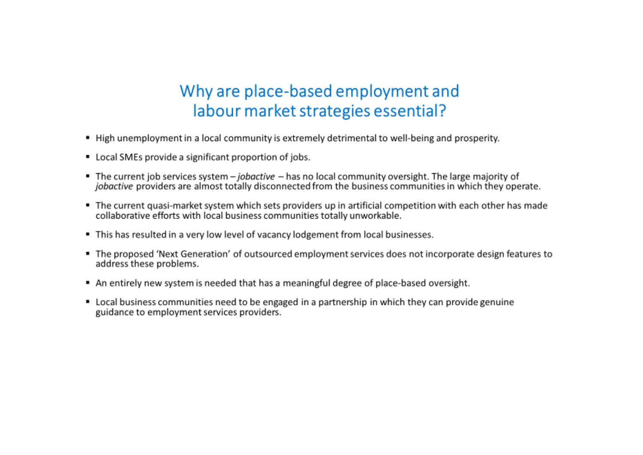# Why are place-based employment and labour market strategies essential?

- . High unemployment in a local community is extremely detrimental to well-being and prosperity.
- Local SMEs provide a significant proportion of jobs.
- The current job services system jobactive has no local community oversight. The large majority of jobactive providers are almost totally disconnected from the business communities in which they operate.
- The current quasi-market system which sets providers up in artificial competition with each other has made collaborative efforts with local business communities totally unworkable.
- . This has resulted in a very low level of vacancy lodgement from local businesses.
- The proposed 'Next Generation' of outsourced employment services does not incorporate design features to address these problems.
- An entirely new system is needed that has a meaningful degree of place-based oversight.
- Local business communities need to be engaged in a partnership in which they can provide genuine guidance to employment services providers.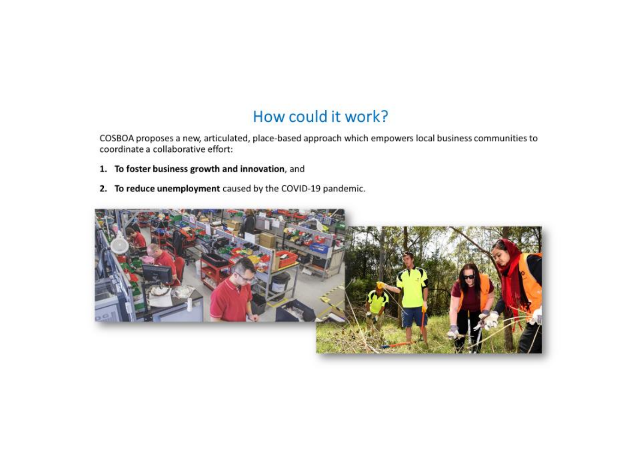# How could it work?

COSBOA proposes a new, articulated, place-based approach which empowers local business communities to coordinate a collaborative effort:

- 1. To foster business growth and innovation, and
- 2. To reduce unemployment caused by the COVID-19 pandemic.

![](_page_26_Picture_4.jpeg)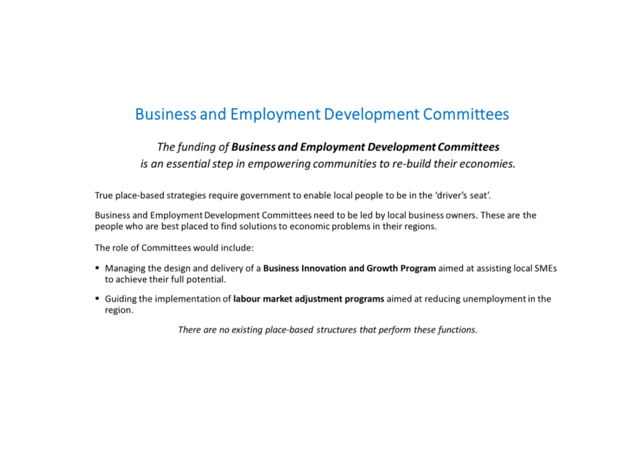# **Business and Employment Development Committees**

### The funding of Business and Employment Development Committees

is an essential step in empowering communities to re-build their economies.

True place-based strategies require government to enable local people to be in the 'driver's seat'.

Business and Employment Development Committees need to be led by local business owners. These are the people who are best placed to find solutions to economic problems in their regions.

The role of Committees would include:

- Managing the design and delivery of a Business Innovation and Growth Program aimed at assisting local SMEs to achieve their full potential.
- Guiding the implementation of labour market adjustment programs aimed at reducing unemployment in the region.

There are no existing place-based structures that perform these functions.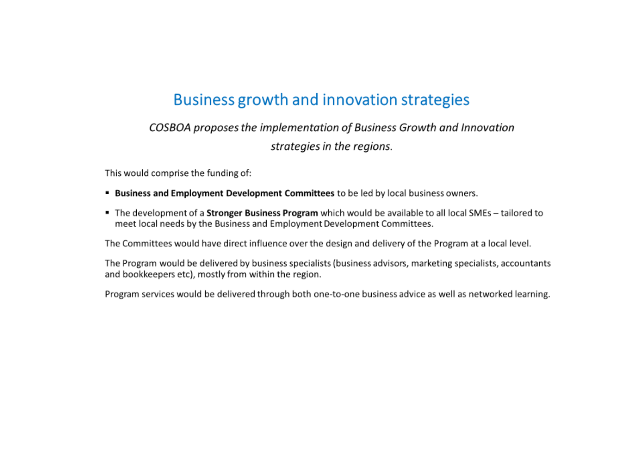# Business growth and innovation strategies

# COSBOA proposes the implementation of Business Growth and Innovation strategies in the regions.

This would comprise the funding of:

- **Business and Employment Development Committees** to be led by local business owners.
- The development of a **Stronger Business Program** which would be available to all local SMEs tailored to meet local needs by the Business and Employment Development Committees.

The Committees would have direct influence over the design and delivery of the Program at a local level.

The Program would be delivered by business specialists (business advisors, marketing specialists, accountants and bookkeepers etc), mostly from within the region.

Program services would be delivered through both one-to-one business advice as well as networked learning.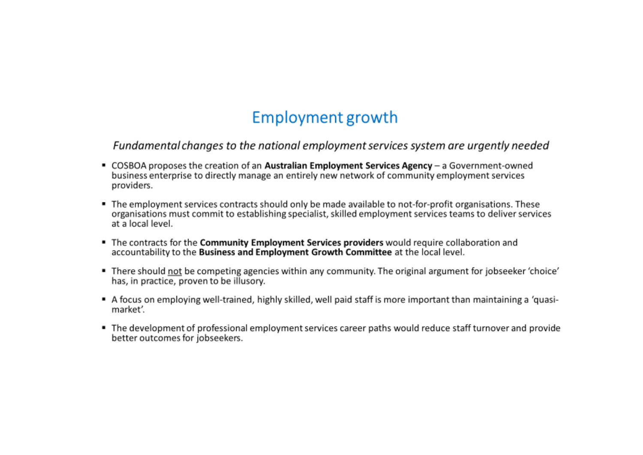# Employment growth

Fundamental changes to the national employment services system are urgently needed

- COSBOA proposes the creation of an Australian Employment Services Agency a Government-owned business enterprise to directly manage an entirely new network of community employment services providers.
- The employment services contracts should only be made available to not-for-profit organisations. These organisations must commit to establishing specialist, skilled employment services teams to deliver services at a local level.
- The contracts for the Community Employment Services providers would require collaboration and accountability to the Business and Employment Growth Committee at the local level.
- " There should not be competing agencies within any community. The original argument for jobseeker 'choice' has, in practice, proven to be illusory.
- A focus on employing well-trained, highly skilled, well paid staff is more important than maintaining a 'quasimarket'.
- The development of professional employment services career paths would reduce staff turnover and provide better outcomes for jobseekers.